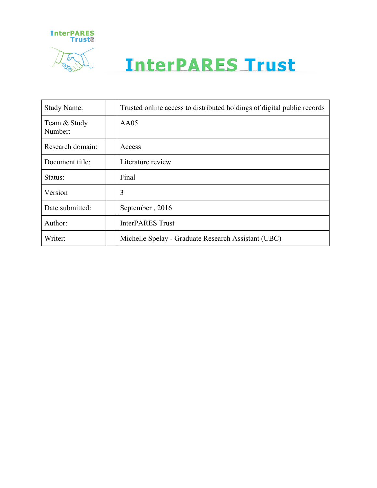

# **InterPARES Trust**

| Study Name:             | Trusted online access to distributed holdings of digital public records |
|-------------------------|-------------------------------------------------------------------------|
| Team & Study<br>Number: | AA05                                                                    |
| Research domain:        | Access                                                                  |
| Document title:         | Literature review                                                       |
| Status:                 | Final                                                                   |
| Version                 | 3                                                                       |
| Date submitted:         | September, 2016                                                         |
| Author:                 | <b>InterPARES Trust</b>                                                 |
| Writer:                 | Michelle Spelay - Graduate Research Assistant (UBC)                     |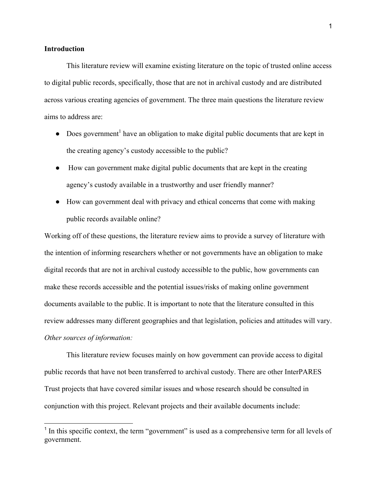#### **Introduction**

This literature review will examine existing literature on the topic of trusted online access to digital public records, specifically, those that are not in archival custody and are distributed across various creating agencies of government. The three main questions the literature review aims to address are:

- Does government<sup>1</sup> have an obligation to make digital public documents that are kept in the creating agency's custody accessible to the public?
- How can government make digital public documents that are kept in the creating agency's custody available in a trustworthy and user friendly manner?
- How can government deal with privacy and ethical concerns that come with making public records available online?

Working off of these questions, the literature review aims to provide a survey of literature with the intention of informing researchers whether or not governments have an obligation to make digital records that are not in archival custody accessible to the public, how governments can make these records accessible and the potential issues/risks of making online government documents available to the public. It is important to note that the literature consulted in this review addresses many different geographies and that legislation, policies and attitudes will vary. *Other sources of information:*

This literature review focuses mainly on how government can provide access to digital public records that have not been transferred to archival custody. There are other InterPARES Trust projects that have covered similar issues and whose research should be consulted in conjunction with this project. Relevant projects and their available documents include:

<sup>&</sup>lt;sup>1</sup> In this specific context, the term "government" is used as a comprehensive term for all levels of government.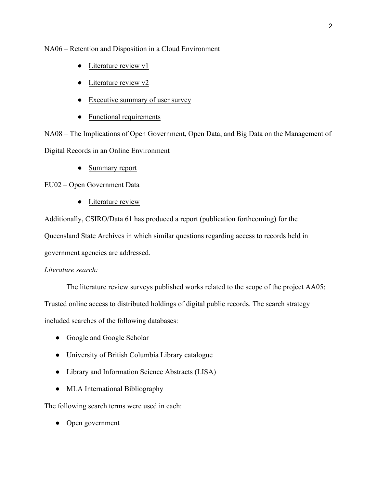NA06 – Retention and Disposition in a Cloud Environment

- Literature review v1
- Literature review v2
- Executive summary of user survey
- Functional requirements

NA08 – The Implications of Open Government, Open Data, and Big Data on the Management of Digital Records in an Online Environment

• Summary report

EU02 – Open Government Data

● Literature review

Additionally, CSIRO/Data 61 has produced a report (publication forthcoming) for the Queensland State Archives in which similar questions regarding access to records held in government agencies are addressed.

## *Literature search:*

The literature review surveys published works related to the scope of the project AA05:

Trusted online access to distributed holdings of digital public records. The search strategy

included searches of the following databases:

- Google and Google Scholar
- University of British Columbia Library catalogue
- Library and Information Science Abstracts (LISA)
- MLA International Bibliography

The following search terms were used in each:

• Open government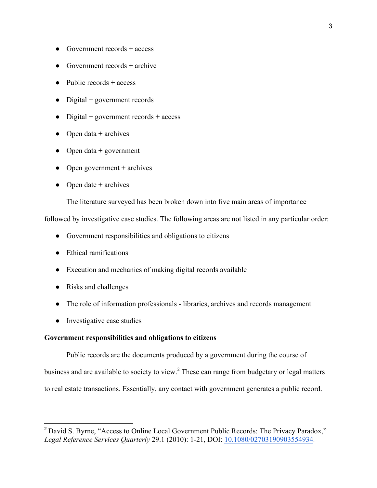- Government records  $+$  access
- Government records  $+$  archive
- $\bullet$  Public records + access
- Digital + government records
- Digital + government records + access
- Open data  $+$  archives
- Open data + government
- $\bullet$  Open government + archives
- Open date  $+$  archives

The literature surveyed has been broken down into five main areas of importance

followed by investigative case studies. The following areas are not listed in any particular order:

- Government responsibilities and obligations to citizens
- Ethical ramifications
- Execution and mechanics of making digital records available
- Risks and challenges
- The role of information professionals libraries, archives and records management
- Investigative case studies

### **Government responsibilities and obligations to citizens**

Public records are the documents produced by a government during the course of business and are available to society to view.<sup>2</sup> These can range from budgetary or legal matters to real estate transactions. Essentially, any contact with government generates a public record.

<sup>&</sup>lt;sup>2</sup> David S. Byrne, "Access to Online Local Government Public Records: The Privacy Paradox," *Legal Reference Services Quarterly* 29.1 (2010): 1-21, DOI: 10.1080/02703190903554934.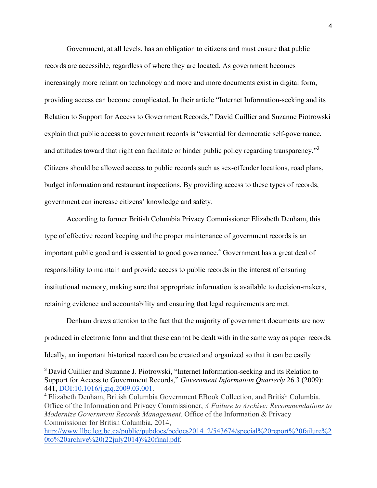Government, at all levels, has an obligation to citizens and must ensure that public records are accessible, regardless of where they are located. As government becomes increasingly more reliant on technology and more and more documents exist in digital form, providing access can become complicated. In their article "Internet Information-seeking and its Relation to Support for Access to Government Records," David Cuillier and Suzanne Piotrowski explain that public access to government records is "essential for democratic self-governance, and attitudes toward that right can facilitate or hinder public policy regarding transparency."<sup>3</sup> Citizens should be allowed access to public records such as sex-offender locations, road plans, budget information and restaurant inspections. By providing access to these types of records, government can increase citizens' knowledge and safety.

According to former British Columbia Privacy Commissioner Elizabeth Denham, this type of effective record keeping and the proper maintenance of government records is an important public good and is essential to good governance.<sup>4</sup> Government has a great deal of responsibility to maintain and provide access to public records in the interest of ensuring institutional memory, making sure that appropriate information is available to decision-makers, retaining evidence and accountability and ensuring that legal requirements are met.

Denham draws attention to the fact that the majority of government documents are now produced in electronic form and that these cannot be dealt with in the same way as paper records. Ideally, an important historical record can be created and organized so that it can be easily

<sup>&</sup>lt;sup>3</sup> David Cuillier and Suzanne J. Piotrowski, "Internet Information-seeking and its Relation to Support for Access to Government Records," *Government Information Quarterly* 26.3 (2009): 441, DOI:10.1016/j.giq.2009.03.001.

<sup>4</sup> Elizabeth Denham, British Columbia Government EBook Collection, and British Columbia. Office of the Information and Privacy Commissioner, *A Failure to Archive: Recommendations to Modernize Government Records Management*. Office of the Information & Privacy Commissioner for British Columbia, 2014,

http://www.llbc.leg.bc.ca/public/pubdocs/bcdocs2014\_2/543674/special%20report%20failure%2 0to%20archive%20(22july2014)%20final.pdf.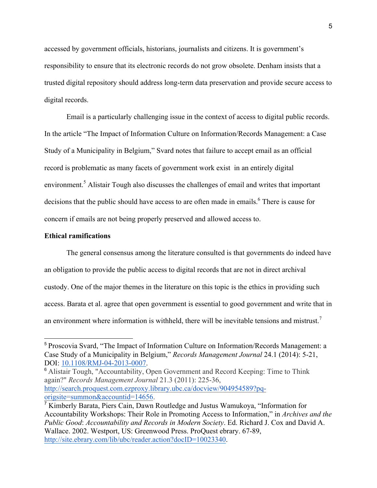accessed by government officials, historians, journalists and citizens. It is government's responsibility to ensure that its electronic records do not grow obsolete. Denham insists that a trusted digital repository should address long-term data preservation and provide secure access to digital records.

Email is a particularly challenging issue in the context of access to digital public records. In the article "The Impact of Information Culture on Information/Records Management: a Case Study of a Municipality in Belgium," Svard notes that failure to accept email as an official record is problematic as many facets of government work exist in an entirely digital environment.<sup>5</sup> Alistair Tough also discusses the challenges of email and writes that important decisions that the public should have access to are often made in emails.<sup>6</sup> There is cause for concern if emails are not being properly preserved and allowed access to.

#### **Ethical ramifications**

The general consensus among the literature consulted is that governments do indeed have an obligation to provide the public access to digital records that are not in direct archival custody. One of the major themes in the literature on this topic is the ethics in providing such access. Barata et al. agree that open government is essential to good government and write that in an environment where information is withheld, there will be inevitable tensions and mistrust.<sup>7</sup>

<sup>6</sup> Alistair Tough, "Accountability, Open Government and Record Keeping: Time to Think again?" *Records Management Journal* 21.3 (2011): 225-36, http://search.proquest.com.ezproxy.library.ubc.ca/docview/904954589?pqorigsite=summon&accountid=14656.

 <sup>5</sup> Proscovia Svard, "The Impact of Information Culture on Information/Records Management: a Case Study of a Municipality in Belgium," *Records Management Journal* 24.1 (2014): 5-21, DOI: 10.1108/RMJ-04-2013-0007.

 $\overline{7}$  Kimberly Barata, Piers Cain, Dawn Routledge and Justus Wamukoya, "Information for Accountability Workshops: Their Role in Promoting Access to Information," in *Archives and the Public Good*: *Accountability and Records in Modern Society*. Ed. Richard J. Cox and David A. Wallace. 2002. Westport, US: Greenwood Press. ProQuest ebrary. 67-89, http://site.ebrary.com/lib/ubc/reader.action?docID=10023340.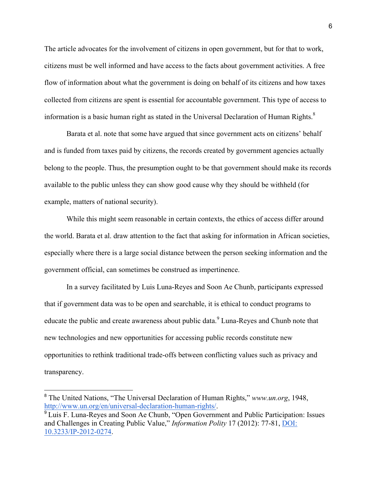The article advocates for the involvement of citizens in open government, but for that to work, citizens must be well informed and have access to the facts about government activities. A free flow of information about what the government is doing on behalf of its citizens and how taxes collected from citizens are spent is essential for accountable government. This type of access to information is a basic human right as stated in the Universal Declaration of Human Rights. $8$ 

Barata et al. note that some have argued that since government acts on citizens' behalf and is funded from taxes paid by citizens, the records created by government agencies actually belong to the people. Thus, the presumption ought to be that government should make its records available to the public unless they can show good cause why they should be withheld (for example, matters of national security).

While this might seem reasonable in certain contexts, the ethics of access differ around the world. Barata et al. draw attention to the fact that asking for information in African societies, especially where there is a large social distance between the person seeking information and the government official, can sometimes be construed as impertinence.

In a survey facilitated by Luis Luna-Reyes and Soon Ae Chunb, participants expressed that if government data was to be open and searchable, it is ethical to conduct programs to educate the public and create awareness about public data.<sup>9</sup> Luna-Reyes and Chunb note that new technologies and new opportunities for accessing public records constitute new opportunities to rethink traditional trade-offs between conflicting values such as privacy and transparency.

 <sup>8</sup> The United Nations, "The Universal Declaration of Human Rights," *www.un.org*, 1948, http://www.un.org/en/universal-declaration-human-rights/.

<sup>&</sup>lt;sup>9</sup> Luis F. Luna-Reyes and Soon Ae Chunb, "Open Government and Public Participation: Issues and Challenges in Creating Public Value," *Information Polity* 17 (2012): 77-81, DOI: 10.3233/IP-2012-0274.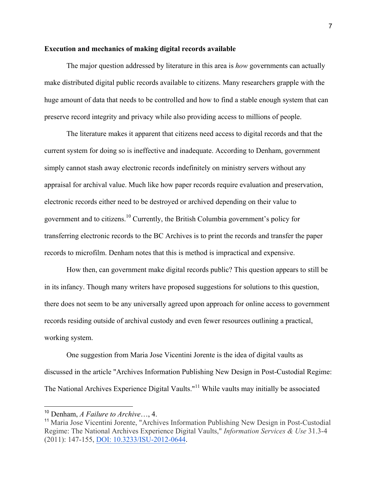#### **Execution and mechanics of making digital records available**

The major question addressed by literature in this area is *how* governments can actually make distributed digital public records available to citizens. Many researchers grapple with the huge amount of data that needs to be controlled and how to find a stable enough system that can preserve record integrity and privacy while also providing access to millions of people.

The literature makes it apparent that citizens need access to digital records and that the current system for doing so is ineffective and inadequate. According to Denham, government simply cannot stash away electronic records indefinitely on ministry servers without any appraisal for archival value. Much like how paper records require evaluation and preservation, electronic records either need to be destroyed or archived depending on their value to government and to citizens.<sup>10</sup> Currently, the British Columbia government's policy for transferring electronic records to the BC Archives is to print the records and transfer the paper records to microfilm. Denham notes that this is method is impractical and expensive.

How then, can government make digital records public? This question appears to still be in its infancy. Though many writers have proposed suggestions for solutions to this question, there does not seem to be any universally agreed upon approach for online access to government records residing outside of archival custody and even fewer resources outlining a practical, working system.

One suggestion from Maria Jose Vicentini Jorente is the idea of digital vaults as discussed in the article "Archives Information Publishing New Design in Post-Custodial Regime: The National Archives Experience Digital Vaults."<sup>11</sup> While vaults may initially be associated

 <sup>10</sup> Denham, *A Failure to Archive*…, 4.

<sup>11</sup> Maria Jose Vicentini Jorente, "Archives Information Publishing New Design in Post-Custodial Regime: The National Archives Experience Digital Vaults," *Information Services & Use* 31.3-4 (2011): 147-155, DOI: 10.3233/ISU-2012-0644.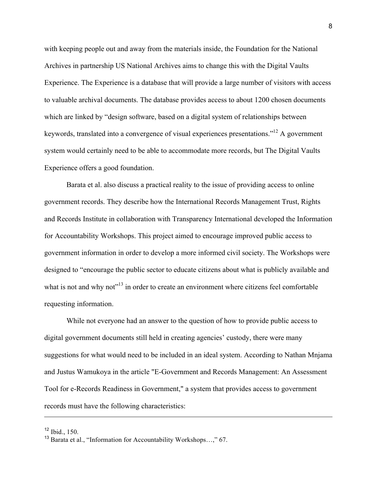with keeping people out and away from the materials inside, the Foundation for the National Archives in partnership US National Archives aims to change this with the Digital Vaults Experience. The Experience is a database that will provide a large number of visitors with access to valuable archival documents. The database provides access to about 1200 chosen documents which are linked by "design software, based on a digital system of relationships between keywords, translated into a convergence of visual experiences presentations."12 A government system would certainly need to be able to accommodate more records, but The Digital Vaults Experience offers a good foundation.

Barata et al. also discuss a practical reality to the issue of providing access to online government records. They describe how the International Records Management Trust, Rights and Records Institute in collaboration with Transparency International developed the Information for Accountability Workshops. This project aimed to encourage improved public access to government information in order to develop a more informed civil society. The Workshops were designed to "encourage the public sector to educate citizens about what is publicly available and what is not and why not<sup>"13</sup> in order to create an environment where citizens feel comfortable requesting information.

While not everyone had an answer to the question of how to provide public access to digital government documents still held in creating agencies' custody, there were many suggestions for what would need to be included in an ideal system. According to Nathan Mnjama and Justus Wamukoya in the article "E-Government and Records Management: An Assessment Tool for e-Records Readiness in Government," a system that provides access to government records must have the following characteristics:

 $12$  Ibid., 150.

<sup>&</sup>lt;sup>13</sup> Barata et al., "Information for Accountability Workshops...," 67.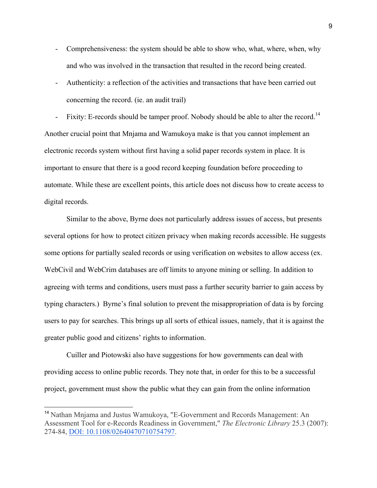- Comprehensiveness: the system should be able to show who, what, where, when, why and who was involved in the transaction that resulted in the record being created.
- Authenticity: a reflection of the activities and transactions that have been carried out concerning the record. (ie. an audit trail)

Fixity: E-records should be tamper proof. Nobody should be able to alter the record.<sup>14</sup> Another crucial point that Mnjama and Wamukoya make is that you cannot implement an electronic records system without first having a solid paper records system in place. It is important to ensure that there is a good record keeping foundation before proceeding to automate. While these are excellent points, this article does not discuss how to create access to digital records.

Similar to the above, Byrne does not particularly address issues of access, but presents several options for how to protect citizen privacy when making records accessible. He suggests some options for partially sealed records or using verification on websites to allow access (ex. WebCivil and WebCrim databases are off limits to anyone mining or selling. In addition to agreeing with terms and conditions, users must pass a further security barrier to gain access by typing characters.) Byrne's final solution to prevent the misappropriation of data is by forcing users to pay for searches. This brings up all sorts of ethical issues, namely, that it is against the greater public good and citizens' rights to information.

Cuiller and Piotowski also have suggestions for how governments can deal with providing access to online public records. They note that, in order for this to be a successful project, government must show the public what they can gain from the online information

<sup>&</sup>lt;sup>14</sup> Nathan Mnjama and Justus Wamukoya, "E-Government and Records Management: An Assessment Tool for e-Records Readiness in Government," *The Electronic Library* 25.3 (2007): 274-84, DOI: 10.1108/02640470710754797.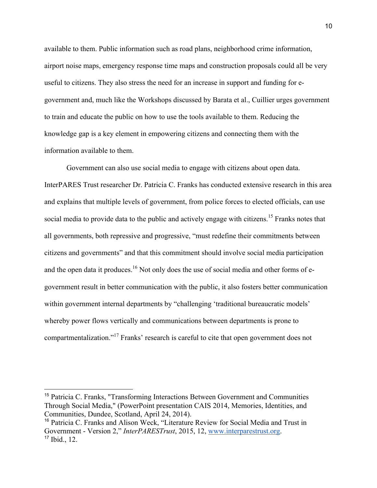available to them. Public information such as road plans, neighborhood crime information, airport noise maps, emergency response time maps and construction proposals could all be very useful to citizens. They also stress the need for an increase in support and funding for egovernment and, much like the Workshops discussed by Barata et al., Cuillier urges government to train and educate the public on how to use the tools available to them. Reducing the knowledge gap is a key element in empowering citizens and connecting them with the information available to them.

Government can also use social media to engage with citizens about open data. InterPARES Trust researcher Dr. Patricia C. Franks has conducted extensive research in this area and explains that multiple levels of government, from police forces to elected officials, can use social media to provide data to the public and actively engage with citizens.<sup>15</sup> Franks notes that all governments, both repressive and progressive, "must redefine their commitments between citizens and governments" and that this commitment should involve social media participation and the open data it produces.<sup>16</sup> Not only does the use of social media and other forms of egovernment result in better communication with the public, it also fosters better communication within government internal departments by "challenging 'traditional bureaucratic models' whereby power flows vertically and communications between departments is prone to compartmentalization."<sup>17</sup> Franks' research is careful to cite that open government does not

 <sup>15</sup> Patricia C. Franks, "Transforming Interactions Between Government and Communities Through Social Media," (PowerPoint presentation CAIS 2014, Memories, Identities, and Communities, Dundee, Scotland, April 24, 2014).

<sup>16</sup> Patricia C. Franks and Alison Weck, "Literature Review for Social Media and Trust in Government - Version 2," *InterPARESTrust*, 2015, 12, www.interparestrust.org.  $17$  Ibid.,  $12$ .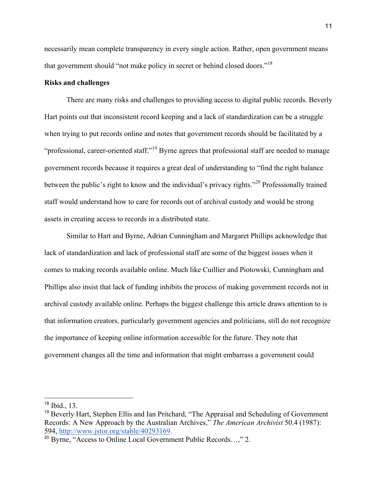necessarily mean complete transparency in every single action. Rather, open government means that government should "not make policy in secret or behind closed doors."<sup>18</sup>

## **Risks and challenges**

There are many risks and challenges to providing access to digital public records. Beverly Hart points out that inconsistent record keeping and a lack of standardization can be a struggle when trying to put records online and notes that government records should be facilitated by a "professional, career-oriented staff."19 Byrne agrees that professional staff are needed to manage government records because it requires a great deal of understanding to "find the right balance between the public's right to know and the individual's privacy rights."<sup>20</sup> Professionally trained staff would understand how to care for records out of archival custody and would be strong assets in creating access to records in a distributed state.

Similar to Hart and Byrne, Adrian Cunningham and Margaret Phillips acknowledge that lack of standardization and lack of professional staff are some of the biggest issues when it comes to making records available online. Much like Cuillier and Piotowski, Cunningham and Phillips also insist that lack of funding inhibits the process of making government records not in archival custody available online. Perhaps the biggest challenge this article draws attention to is that information creators, particularly government agencies and politicians, still do not recognize the importance of keeping online information accessible for the future. They note that government changes all the time and information that might embarrass a government could

 <sup>18</sup> Ibid., 13.

<sup>&</sup>lt;sup>19</sup> Beverly Hart, Stephen Ellis and Ian Pritchard, "The Appraisal and Scheduling of Government Records: A New Approach by the Australian Archives," *The American Archivist* 50.4 (1987): 594, http://www.jstor.org/stable/40293169.

<sup>&</sup>lt;sup>20</sup> Byrne, "Access to Online Local Government Public Records...," 2.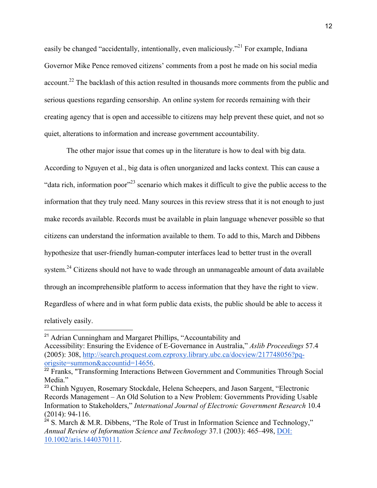easily be changed "accidentally, intentionally, even maliciously."<sup>21</sup> For example, Indiana Governor Mike Pence removed citizens' comments from a post he made on his social media account.<sup>22</sup> The backlash of this action resulted in thousands more comments from the public and serious questions regarding censorship. An online system for records remaining with their creating agency that is open and accessible to citizens may help prevent these quiet, and not so quiet, alterations to information and increase government accountability.

The other major issue that comes up in the literature is how to deal with big data. According to Nguyen et al., big data is often unorganized and lacks context. This can cause a "data rich, information poor"<sup>23</sup> scenario which makes it difficult to give the public access to the information that they truly need. Many sources in this review stress that it is not enough to just make records available. Records must be available in plain language whenever possible so that citizens can understand the information available to them. To add to this, March and Dibbens hypothesize that user-friendly human-computer interfaces lead to better trust in the overall system.<sup>24</sup> Citizens should not have to wade through an unmanageable amount of data available through an incomprehensible platform to access information that they have the right to view. Regardless of where and in what form public data exists, the public should be able to access it relatively easily.

<sup>&</sup>lt;sup>21</sup> Adrian Cunningham and Margaret Phillips, "Accountability and

Accessibility: Ensuring the Evidence of E-Governance in Australia," *Aslib Proceedings* 57.4 (2005): 308, http://search.proquest.com.ezproxy.library.ubc.ca/docview/217748056?pqorigsite=summon&accountid=14656.

<sup>&</sup>lt;sup>22</sup> Franks, "Transforming Interactions Between Government and Communities Through Social Media."

<sup>&</sup>lt;sup>23</sup> Chinh Nguyen, Rosemary Stockdale, Helena Scheepers, and Jason Sargent, "Electronic Records Management – An Old Solution to a New Problem: Governments Providing Usable Information to Stakeholders," *International Journal of Electronic Government Research* 10.4 (2014): 94-116.

 $24$  S. March & M.R. Dibbens, "The Role of Trust in Information Science and Technology," *Annual Review of Information Science and Technology* 37.1 (2003): 465–498, DOI: 10.1002/aris.1440370111.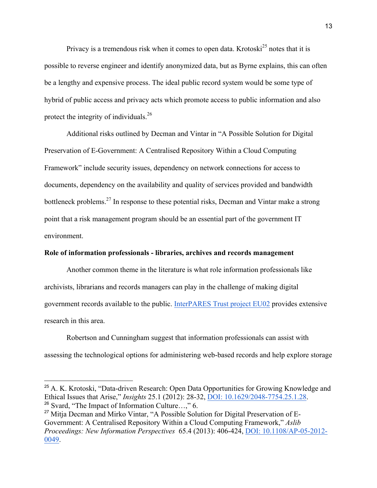Privacy is a tremendous risk when it comes to open data. Krotoski<sup>25</sup> notes that it is possible to reverse engineer and identify anonymized data, but as Byrne explains, this can often be a lengthy and expensive process. The ideal public record system would be some type of hybrid of public access and privacy acts which promote access to public information and also protect the integrity of individuals.<sup>26</sup>

Additional risks outlined by Decman and Vintar in "A Possible Solution for Digital Preservation of E-Government: A Centralised Repository Within a Cloud Computing Framework" include security issues, dependency on network connections for access to documents, dependency on the availability and quality of services provided and bandwidth bottleneck problems.<sup>27</sup> In response to these potential risks, Decman and Vintar make a strong point that a risk management program should be an essential part of the government IT environment.

# **Role of information professionals - libraries, archives and records management**

Another common theme in the literature is what role information professionals like archivists, librarians and records managers can play in the challenge of making digital government records available to the public. InterPARES Trust project EU02 provides extensive research in this area.

Robertson and Cunningham suggest that information professionals can assist with assessing the technological options for administering web-based records and help explore storage

 <sup>25</sup> A. K. Krotoski, "Data-driven Research: Open Data Opportunities for Growing Knowledge and Ethical Issues that Arise," *Insights* 25.1 (2012): 28-32, DOI: 10.1629/2048-7754.25.1.28.  $26$  Svard, "The Impact of Information Culture...," 6.

<sup>&</sup>lt;sup>27</sup> Mitja Decman and Mirko Vintar, "A Possible Solution for Digital Preservation of E-Government: A Centralised Repository Within a Cloud Computing Framework," *Aslib Proceedings: New Information Perspectives* 65.4 (2013): 406-424, DOI: 10.1108/AP-05-2012- 0049.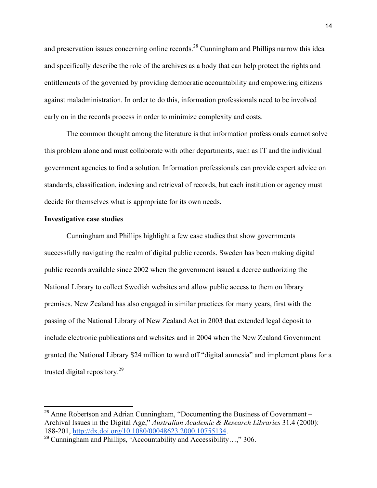and preservation issues concerning online records.<sup>28</sup> Cunningham and Phillips narrow this idea and specifically describe the role of the archives as a body that can help protect the rights and entitlements of the governed by providing democratic accountability and empowering citizens against maladministration. In order to do this, information professionals need to be involved early on in the records process in order to minimize complexity and costs.

The common thought among the literature is that information professionals cannot solve this problem alone and must collaborate with other departments, such as IT and the individual government agencies to find a solution. Information professionals can provide expert advice on standards, classification, indexing and retrieval of records, but each institution or agency must decide for themselves what is appropriate for its own needs.

## **Investigative case studies**

Cunningham and Phillips highlight a few case studies that show governments successfully navigating the realm of digital public records. Sweden has been making digital public records available since 2002 when the government issued a decree authorizing the National Library to collect Swedish websites and allow public access to them on library premises. New Zealand has also engaged in similar practices for many years, first with the passing of the National Library of New Zealand Act in 2003 that extended legal deposit to include electronic publications and websites and in 2004 when the New Zealand Government granted the National Library \$24 million to ward off "digital amnesia" and implement plans for a trusted digital repository.<sup>29</sup>

<sup>&</sup>lt;sup>28</sup> Anne Robertson and Adrian Cunningham, "Documenting the Business of Government – Archival Issues in the Digital Age," *Australian Academic & Research Libraries* 31.4 (2000): 188-201, http://dx.doi.org/10.1080/00048623.2000.10755134.

 $29$  Cunningham and Phillips, "Accountability and Accessibility...," 306.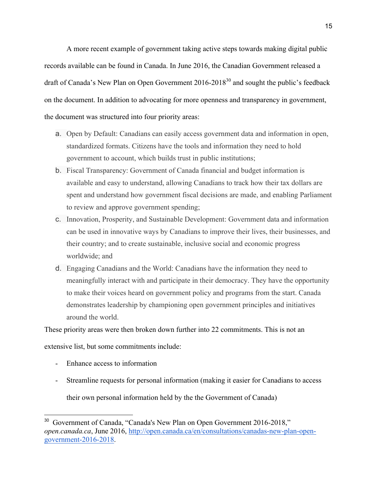A more recent example of government taking active steps towards making digital public records available can be found in Canada. In June 2016, the Canadian Government released a draft of Canada's New Plan on Open Government  $2016-2018^{30}$  and sought the public's feedback on the document. In addition to advocating for more openness and transparency in government, the document was structured into four priority areas:

- a. Open by Default: Canadians can easily access government data and information in open, standardized formats. Citizens have the tools and information they need to hold government to account, which builds trust in public institutions;
- b. Fiscal Transparency: Government of Canada financial and budget information is available and easy to understand, allowing Canadians to track how their tax dollars are spent and understand how government fiscal decisions are made, and enabling Parliament to review and approve government spending;
- c. Innovation, Prosperity, and Sustainable Development: Government data and information can be used in innovative ways by Canadians to improve their lives, their businesses, and their country; and to create sustainable, inclusive social and economic progress worldwide; and
- d. Engaging Canadians and the World: Canadians have the information they need to meaningfully interact with and participate in their democracy. They have the opportunity to make their voices heard on government policy and programs from the start. Canada demonstrates leadership by championing open government principles and initiatives around the world.

These priority areas were then broken down further into 22 commitments. This is not an extensive list, but some commitments include:

- Enhance access to information
- Streamline requests for personal information (making it easier for Canadians to access their own personal information held by the the Government of Canada)

<sup>&</sup>lt;sup>30</sup> Government of Canada, "Canada's New Plan on Open Government 2016-2018," *open.canada.ca*, June 2016, http://open.canada.ca/en/consultations/canadas-new-plan-opengovernment-2016-2018.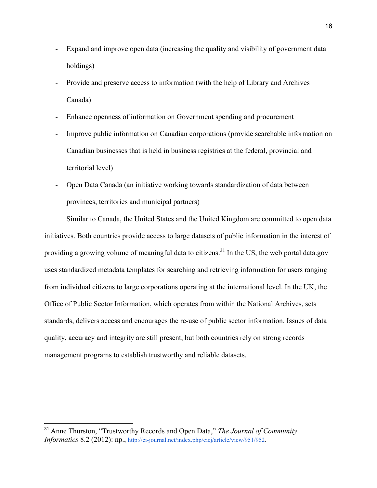- Expand and improve open data (increasing the quality and visibility of government data holdings)
- Provide and preserve access to information (with the help of Library and Archives Canada)
- Enhance openness of information on Government spending and procurement
- Improve public information on Canadian corporations (provide searchable information on Canadian businesses that is held in business registries at the federal, provincial and territorial level)
- Open Data Canada (an initiative working towards standardization of data between provinces, territories and municipal partners)

Similar to Canada, the United States and the United Kingdom are committed to open data initiatives. Both countries provide access to large datasets of public information in the interest of providing a growing volume of meaningful data to citizens.<sup>31</sup> In the US, the web portal data.gov uses standardized metadata templates for searching and retrieving information for users ranging from individual citizens to large corporations operating at the international level. In the UK, the Office of Public Sector Information, which operates from within the National Archives, sets standards, delivers access and encourages the re-use of public sector information. Issues of data quality, accuracy and integrity are still present, but both countries rely on strong records management programs to establish trustworthy and reliable datasets.

 <sup>31</sup> Anne Thurston, "Trustworthy Records and Open Data," *The Journal of Community Informatics* 8.2 (2012): np., http://ci-journal.net/index.php/ciej/article/view/951/952.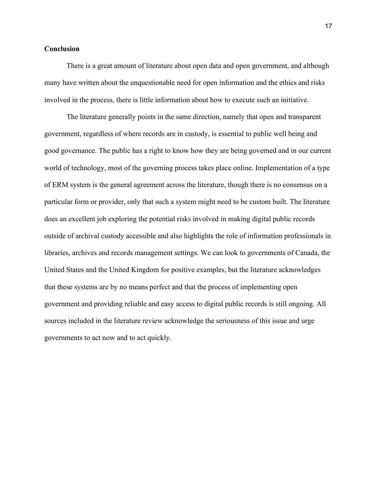## **Conclusion**

There is a great amount of literature about open data and open government, and although many have written about the unquestionable need for open information and the ethics and risks involved in the process, there is little information about how to execute such an initiative.

The literature generally points in the same direction, namely that open and transparent government, regardless of where records are in custody, is essential to public well being and good governance. The public has a right to know how they are being governed and in our current world of technology, most of the governing process takes place online. Implementation of a type of ERM system is the general agreement across the literature, though there is no consensus on a particular form or provider, only that such a system might need to be custom built. The literature does an excellent job exploring the potential risks involved in making digital public records outside of archival custody accessible and also highlights the role of information professionals in libraries, archives and records management settings. We can look to governments of Canada, the United States and the United Kingdom for positive examples, but the literature acknowledges that these systems are by no means perfect and that the process of implementing open government and providing reliable and easy access to digital public records is still ongoing. All sources included in the literature review acknowledge the seriousness of this issue and urge governments to act now and to act quickly.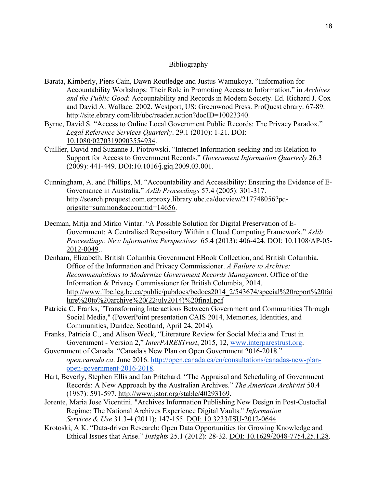# Bibliography

- Barata, Kimberly, Piers Cain, Dawn Routledge and Justus Wamukoya. "Information for Accountability Workshops: Their Role in Promoting Access to Information." in *Archives and the Public Good*: Accountability and Records in Modern Society. Ed. Richard J. Cox and David A. Wallace. 2002. Westport, US: Greenwood Press. ProQuest ebrary. 67-89. http://site.ebrary.com/lib/ubc/reader.action?docID=10023340.
- Byrne, David S. "Access to Online Local Government Public Records: The Privacy Paradox." *Legal Reference Services Quarterly*. 29.1 (2010): 1-21. DOI: 10.1080/02703190903554934.
- Cuillier, David and Suzanne J. Piotrowski. "Internet Information-seeking and its Relation to Support for Access to Government Records." *Government Information Quarterly* 26.3 (2009): 441-449. DOI:10.1016/j.giq.2009.03.001.
- Cunningham, A. and Phillips, M. "Accountability and Accessibility: Ensuring the Evidence of E-Governance in Australia." *Aslib Proceedings* 57.4 (2005): 301-317. http://search.proquest.com.ezproxy.library.ubc.ca/docview/217748056?pqorigsite=summon&accountid=14656.
- Decman, Mitja and Mirko Vintar. "A Possible Solution for Digital Preservation of E-Government: A Centralised Repository Within a Cloud Computing Framework." *Aslib Proceedings: New Information Perspectives* 65.4 (2013): 406-424. DOI: 10.1108/AP-05- 2012-0049..
- Denham, Elizabeth. British Columbia Government EBook Collection, and British Columbia. Office of the Information and Privacy Commissioner. *A Failure to Archive: Recommendations to Modernize Government Records Management*. Office of the Information & Privacy Commissioner for British Columbia, 2014. http://www.llbc.leg.bc.ca/public/pubdocs/bcdocs2014 2/543674/special%20report%20fai lure%20to%20archive%20(22july2014)%20final.pdf
- Patricia C. Franks, "Transforming Interactions Between Government and Communities Through Social Media," (PowerPoint presentation CAIS 2014, Memories, Identities, and Communities, Dundee, Scotland, April 24, 2014).
- Franks, Patricia C., and Alison Weck, "Literature Review for Social Media and Trust in Government - Version 2," *InterPARESTrust*, 2015, 12, www.interparestrust.org.
- Government of Canada. "Canada's New Plan on Open Government 2016-2018." *open.canada.ca*. June 2016. http://open.canada.ca/en/consultations/canadas-new-planopen-government-2016-2018.
- Hart, Beverly, Stephen Ellis and Ian Pritchard. "The Appraisal and Scheduling of Government Records: A New Approach by the Australian Archives." *The American Archivist* 50.4 (1987): 591-597. http://www.jstor.org/stable/40293169.
- Jorente, Maria Jose Vicentini. "Archives Information Publishing New Design in Post-Custodial Regime: The National Archives Experience Digital Vaults." *Information Services & Use* 31.3-4 (2011): 147-155. DOI: 10.3233/ISU-2012-0644.
- Krotoski, A K. "Data-driven Research: Open Data Opportunities for Growing Knowledge and Ethical Issues that Arise." *Insights* 25.1 (2012): 28-32. DOI: 10.1629/2048-7754.25.1.28.